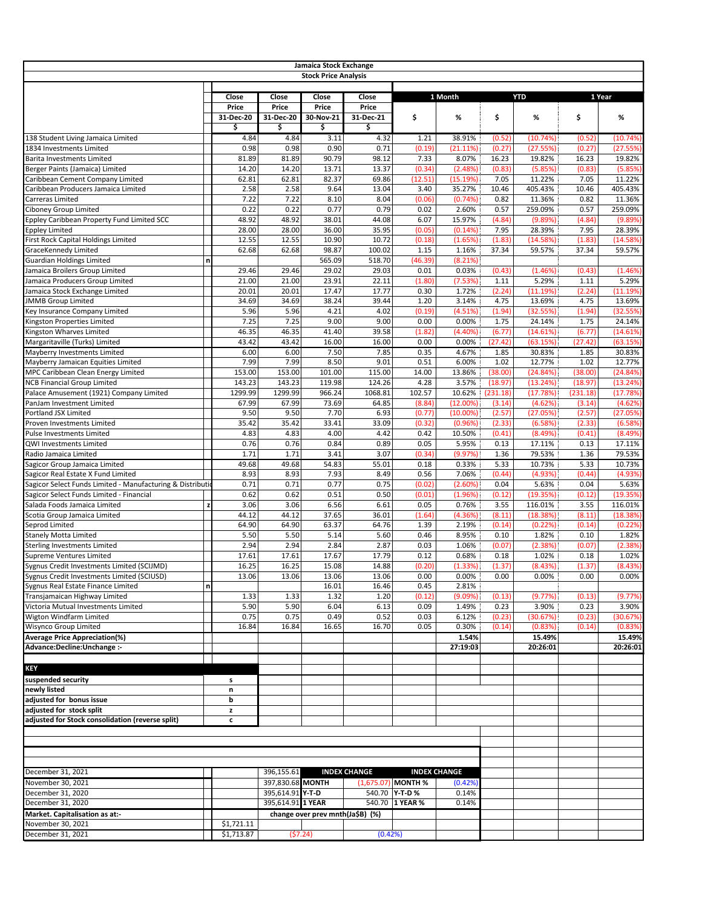|                                                                                  |             |                 |                   | Jamaica Stock Exchange<br><b>Stock Price Analysis</b> |                     |                    |                     |                 |                    |                 |                    |
|----------------------------------------------------------------------------------|-------------|-----------------|-------------------|-------------------------------------------------------|---------------------|--------------------|---------------------|-----------------|--------------------|-----------------|--------------------|
|                                                                                  |             |                 |                   |                                                       |                     |                    |                     |                 |                    |                 |                    |
|                                                                                  |             | Close           | Close             | Close                                                 | Close               |                    | 1 Month             |                 | <b>YTD</b>         |                 | 1 Year             |
|                                                                                  |             | Price           | Price             | Price                                                 | Price               |                    |                     |                 |                    |                 |                    |
|                                                                                  |             | 31-Dec-20<br>\$ | 31-Dec-20<br>\$   | 30-Nov-21<br>\$                                       | 31-Dec-21<br>\$     | \$                 | %                   | \$              | %                  | \$              | %                  |
| 138 Student Living Jamaica Limited                                               |             | 4.84            | 4.84              | 3.11                                                  | 4.32                | 1.21               | 38.91%              | (0.52)          | (10.74%)           | (0.52)          | (10.74%            |
| 1834 Investments Limited                                                         |             | 0.98            | 0.98              | 0.90                                                  | 0.71                | (0.19)             | (21.11%)            | (0.27)          | (27.55%)           | (0.27)          | (27.55%            |
| Barita Investments Limited                                                       |             | 81.89           | 81.89             | 90.79                                                 | 98.12               | 7.33               | 8.07%               | 16.23           | 19.82%             | 16.23           | 19.82%             |
| Berger Paints (Jamaica) Limited                                                  |             | 14.20           | 14.20             | 13.71                                                 | 13.37               | (0.34)             | (2.48%)             | (0.83)          | (5.85%)            | (0.83)          | (5.85%             |
| Caribbean Cement Company Limited                                                 |             | 62.81           | 62.81             | 82.37                                                 | 69.86               | (12.51)            | (15.19%)            | 7.05            | 11.22%             | 7.05            | 11.22%             |
| Caribbean Producers Jamaica Limited                                              |             | 2.58            | 2.58              | 9.64                                                  | 13.04               | 3.40               | 35.27%              | 10.46           | 405.43%            | 10.46           | 405.43%            |
| Carreras Limited                                                                 |             | 7.22            | 7.22              | 8.10                                                  | 8.04                | (0.06)             | (0.74%)             | 0.82            | 11.36%             | 0.82            | 11.36%             |
| Ciboney Group Limited                                                            |             | 0.22            | 0.22              | 0.77                                                  | 0.79                | 0.02               | 2.60%               | 0.57            | 259.09%            | 0.57            | 259.09%            |
| Eppley Caribbean Property Fund Limited SCC<br>Eppley Limited                     |             | 48.92<br>28.00  | 48.92<br>28.00    | 38.01<br>36.00                                        | 44.08<br>35.95      | 6.07<br>(0.05)     | 15.97%<br>(0.14%)   | (4.84)<br>7.95  | (9.89%)<br>28.39%  | (4.84)<br>7.95  | (9.89%<br>28.39%   |
| First Rock Capital Holdings Limited                                              |             | 12.55           | 12.55             | 10.90                                                 | 10.72               | (0.18)             | (1.65%)             | (1.83)          | (14.58%)           | (1.83)          | (14.58%            |
| GraceKennedy Limited                                                             |             | 62.68           | 62.68             | 98.87                                                 | 100.02              | 1.15               | 1.16%               | 37.34           | 59.57%             | 37.34           | 59.57%             |
| <b>Guardian Holdings Limited</b>                                                 | n           |                 |                   | 565.09                                                | 518.70              | (46.39)            | (8.21%)             |                 |                    |                 |                    |
| lamaica Broilers Group Limited                                                   |             | 29.46           | 29.46             | 29.02                                                 | 29.03               | 0.01               | 0.03%               | (0.43)          | (1.46%)            | (0.43)          | (1.46%             |
| Jamaica Producers Group Limited                                                  |             | 21.00           | 21.00             | 23.91                                                 | 22.11               | (1.80)             | (7.53%)             | 1.11            | 5.29%              | 1.11            | 5.29%              |
| Jamaica Stock Exchange Limited                                                   |             | 20.01           | 20.01             | 17.47                                                 | 17.77               | 0.30               | 1.72%               | (2.24)          | (11.19%)           | (2.24)          | (11.19%            |
| <b>JMMB Group Limited</b>                                                        |             | 34.69           | 34.69             | 38.24                                                 | 39.44               | 1.20               | 3.14%               | 4.75            | 13.69%             | 4.75            | 13.69%             |
| Key Insurance Company Limited                                                    |             | 5.96            | 5.96              | 4.21                                                  | 4.02                | (0.19)             | (4.51%)             | (1.94)          | (32.55%)           | (1.94)          | (32.55%            |
| Kingston Properties Limited                                                      |             | 7.25            | 7.25              | 9.00                                                  | 9.00                | 0.00               | 0.00%               | 1.75            | 24.14%             | 1.75            | 24.14%             |
| Kingston Wharves Limited                                                         |             | 46.35           | 46.35<br>43.42    | 41.40<br>16.00                                        | 39.58<br>16.00      | (1.82)             | (4.40%)             | (6.77)          | (14.61%)           | (6.77)          | (14.61%            |
| Margaritaville (Turks) Limited<br>Mayberry Investments Limited                   |             | 43.42<br>6.00   | 6.00              | 7.50                                                  | 7.85                | 0.00<br>0.35       | 0.00%<br>4.67%      | (27.42)<br>1.85 | (63.15%)<br>30.83% | (27.42)<br>1.85 | (63.15%)<br>30.83% |
| Mayberry Jamaican Equities Limited                                               |             | 7.99            | 7.99              | 8.50                                                  | 9.01                | 0.51               | 6.00%               | 1.02            | 12.77%             | 1.02            | 12.77%             |
| MPC Caribbean Clean Energy Limited                                               |             | 153.00          | 153.00            | 101.00                                                | 115.00              | 14.00              | 13.86%              | (38.00)         | (24.84%)           | (38.00)         | (24.84%            |
| <b>NCB Financial Group Limited</b>                                               |             | 143.23          | 143.23            | 119.98                                                | 124.26              | 4.28               | 3.57%               | (18.97)         | (13.24%)           | (18.97)         | (13.24%            |
| Palace Amusement (1921) Company Limited                                          |             | 1299.99         | 1299.99           | 966.24                                                | 1068.81             | 102.57             | 10.62%              | (231.18)        | (17.78%)           | (231.18)        | (17.78%            |
| PanJam Investment Limited                                                        |             | 67.99           | 67.99             | 73.69                                                 | 64.85               | (8.84)             | $(12.00\%)$         | (3.14)          | (4.62%)            | (3.14)          | (4.62%             |
| Portland JSX Limited                                                             |             | 9.50            | 9.50              | 7.70                                                  | 6.93                | (0.77)             | $(10.00\%)$         | (2.57)          | (27.05%)           | (2.57)          | (27.05%            |
| Proven Investments Limited                                                       |             | 35.42           | 35.42             | 33.41                                                 | 33.09               | (0.32)             | (0.96%)             | (2.33)          | (6.58%)            | (2.33)          | (6.58%             |
| Pulse Investments Limited                                                        |             | 4.83            | 4.83              | 4.00                                                  | 4.42                | 0.42               | 10.50%              | (0.41)          | (8.49%)            | (0.41)          | (8.49%             |
| QWI Investments Limited                                                          |             | 0.76            | 0.76              | 0.84                                                  | 0.89                | 0.05               | 5.95%               | 0.13            | 17.11%             | 0.13            | 17.11%             |
| Radio Jamaica Limited                                                            |             | 1.71            | 1.71              | 3.41<br>54.83                                         | 3.07<br>55.01       | (0.34)             | (9.97%)             | 1.36            | 79.53%<br>10.73%   | 1.36<br>5.33    | 79.53%             |
| Sagicor Group Jamaica Limited<br>Sagicor Real Estate X Fund Limited              |             | 49.68<br>8.93   | 49.68<br>8.93     | 7.93                                                  | 8.49                | 0.18<br>0.56       | 0.33%<br>7.06%      | 5.33<br>(0.44)  | (4.93%)            | (0.44)          | 10.73%<br>(4.93%   |
| Sagicor Select Funds Limited - Manufacturing & Distributi                        |             | 0.71            | 0.71              | 0.77                                                  | 0.75                | (0.02)             | (2.60%)             | 0.04            | 5.63%              | 0.04            | 5.63%              |
| Sagicor Select Funds Limited - Financial                                         |             | 0.62            | 0.62              | 0.51                                                  | 0.50                | (0.01)             | (1.96%)             | (0.12)          | (19.35%)           | (0.12)          | (19.35%            |
| Salada Foods Jamaica Limited                                                     | z           | 3.06            | 3.06              | 6.56                                                  | 6.61                | 0.05               | 0.76%               | 3.55            | 116.01%            | 3.55            | 116.01%            |
| Scotia Group Jamaica Limited                                                     |             | 44.12           | 44.12             | 37.65                                                 | 36.01               | (1.64)             | (4.36%)             | (8.11)          | (18.38%)           | (8.11)          | (18.38%            |
| Seprod Limited                                                                   |             | 64.90           | 64.90             | 63.37                                                 | 64.76               | 1.39               | 2.19%               | (0.14)          | (0.22%)            | (0.14)          | (0.22%             |
| Stanely Motta Limited                                                            |             | 5.50            | 5.50              | 5.14                                                  | 5.60                | 0.46               | 8.95%               | 0.10            | 1.82%              | 0.10            | 1.82%              |
| Sterling Investments Limited                                                     |             | 2.94            | 2.94              | 2.84                                                  | 2.87                | 0.03               | 1.06%               | (0.07)          | (2.38%)            | (0.07)          | (2.38%             |
| Supreme Ventures Limited                                                         |             | 17.61           | 17.61             | 17.67                                                 | 17.79               | 0.12               | 0.68%               | 0.18            | 1.02%              | 0.18            | 1.02%              |
| Sygnus Credit Investments Limited (SCIJMD)                                       |             | 16.25           | 16.25             | 15.08                                                 | 14.88               | (0.20)             | (1.33%)             | (1.37)          | (8.43%)            | (1.37)          | (8.43%             |
| Sygnus Credit Investments Limited (SCIUSD)<br>Sygnus Real Estate Finance Limited | $\mathbf n$ | 13.06           | 13.06             | 13.06<br>16.01                                        | 13.06<br>16.46      | 0.00<br>0.45       | 0.00%<br>2.81%      | 0.00            | 0.00%              | 0.00            | 0.00%              |
| Transjamaican Highway Limited                                                    |             | 1.33            | 1.33              | 1.32                                                  | 1.20                | (0.12)             | (9.09%)             | (0.13)          | (9.77%)            | (0.13)          | (9.77%)            |
| Victoria Mutual Investments Limited                                              |             | 5.90            | 5.90              | 6.04                                                  | 6.13                | 0.09               | 1.49%               | 0.23            | 3.90%              | 0.23            | 3.90%              |
| Wigton Windfarm Limited                                                          |             | 0.75            | 0.75              | 0.49                                                  | 0.52                | 0.03               | 6.12%               | (0.23)          | (30.67%)           | (0.23)          | (30.67%)           |
| Wisynco Group Limited                                                            |             | 16.84           | 16.84             | 16.65                                                 | 16.70               | 0.05               | 0.30%               | (0.14)          | (0.83%)            | (0.14)          | (0.83%             |
| <b>Average Price Appreciation(%)</b>                                             |             |                 |                   |                                                       |                     |                    | 1.54%               |                 | 15.49%             |                 | 15.49%             |
| Advance:Decline:Unchange :-                                                      |             |                 |                   |                                                       |                     |                    | 27:19:03            |                 | 20:26:01           |                 | 20:26:01           |
|                                                                                  |             |                 |                   |                                                       |                     |                    |                     |                 |                    |                 |                    |
| KEY                                                                              |             |                 |                   |                                                       |                     |                    |                     |                 |                    |                 |                    |
| suspended security                                                               |             | s               |                   |                                                       |                     |                    |                     |                 |                    |                 |                    |
| newly listed<br>adjusted for bonus issue                                         |             | n<br>b          |                   |                                                       |                     |                    |                     |                 |                    |                 |                    |
| adjusted for stock split                                                         |             | z               |                   |                                                       |                     |                    |                     |                 |                    |                 |                    |
| adjusted for Stock consolidation (reverse split)                                 |             | c               |                   |                                                       |                     |                    |                     |                 |                    |                 |                    |
|                                                                                  |             |                 |                   |                                                       |                     |                    |                     |                 |                    |                 |                    |
|                                                                                  |             |                 |                   |                                                       |                     |                    |                     |                 |                    |                 |                    |
|                                                                                  |             |                 |                   |                                                       |                     |                    |                     |                 |                    |                 |                    |
|                                                                                  |             |                 |                   |                                                       |                     |                    |                     |                 |                    |                 |                    |
| December 31, 2021                                                                |             |                 | 396,155.61        |                                                       | <b>INDEX CHANGE</b> |                    | <b>INDEX CHANGE</b> |                 |                    |                 |                    |
| November 30, 2021                                                                |             |                 | 397,830.68 MONTH  |                                                       |                     | (1,675.07) MONTH % | (0.42%)             |                 |                    |                 |                    |
| December 31, 2020                                                                |             |                 | 395,614.91 Y-T-D  |                                                       |                     | 540.70 Y-T-D %     | 0.14%               |                 |                    |                 |                    |
| December 31, 2020                                                                |             |                 | 395,614.91 1 YEAR |                                                       |                     | 540.70 1 YEAR %    | 0.14%               |                 |                    |                 |                    |
| Market. Capitalisation as at:-                                                   |             |                 |                   | change over prev mnth(Ja\$B) (%)                      |                     |                    |                     |                 |                    |                 |                    |
| November 30, 2021                                                                |             | \$1,721.11      |                   |                                                       |                     |                    |                     |                 |                    |                 |                    |
| December 31, 2021                                                                |             | \$1,713.87      |                   | (57.24)                                               | (0.42%)             |                    |                     |                 |                    |                 |                    |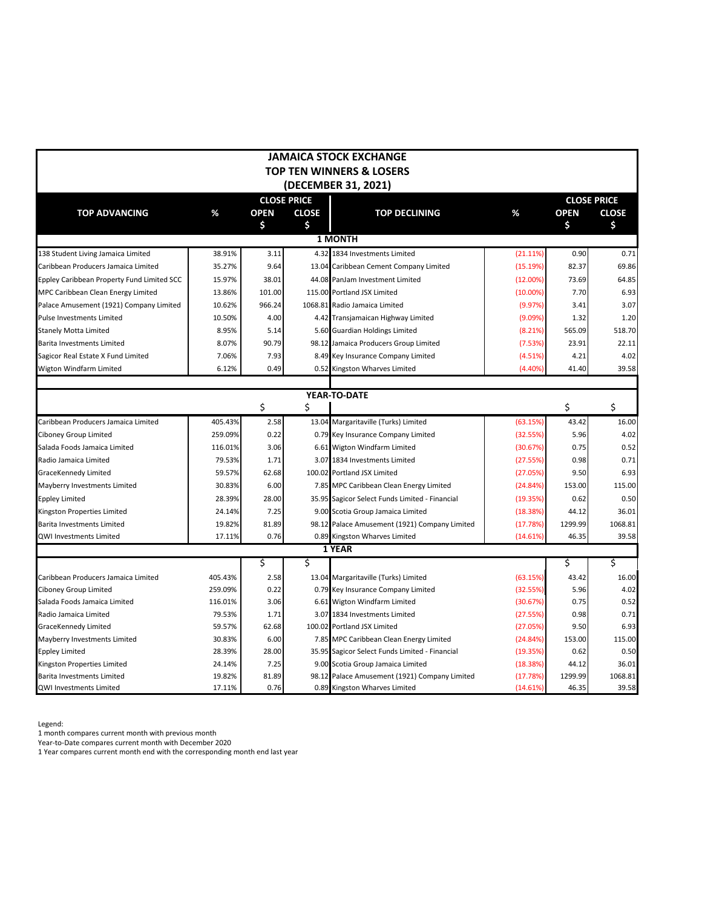|                                            |         |             |                    | JAMAICA STOCK EXCHANGE                         |             |             |                    |
|--------------------------------------------|---------|-------------|--------------------|------------------------------------------------|-------------|-------------|--------------------|
|                                            |         |             |                    | TOP TEN WINNERS & LOSERS                       |             |             |                    |
|                                            |         |             |                    | (DECEMBER 31, 2021)                            |             |             |                    |
|                                            |         |             | <b>CLOSE PRICE</b> |                                                |             |             | <b>CLOSE PRICE</b> |
| <b>TOP ADVANCING</b>                       | %       | <b>OPEN</b> | <b>CLOSE</b>       | <b>TOP DECLINING</b>                           | %           | <b>OPEN</b> | <b>CLOSE</b>       |
|                                            |         | \$          | \$                 |                                                |             | \$          | Ś.                 |
|                                            |         |             |                    | <b>1 MONTH</b>                                 |             |             |                    |
| 138 Student Living Jamaica Limited         | 38.91%  | 3.11        |                    | 4.32 1834 Investments Limited                  | (21.11%)    | 0.90        | 0.71               |
| Caribbean Producers Jamaica Limited        | 35.27%  | 9.64        |                    | 13.04 Caribbean Cement Company Limited         | (15.19%)    | 82.37       | 69.86              |
| Eppley Caribbean Property Fund Limited SCC | 15.97%  | 38.01       |                    | 44.08 PanJam Investment Limited                | (12.00%)    | 73.69       | 64.85              |
| MPC Caribbean Clean Energy Limited         | 13.86%  | 101.00      |                    | 115.00 Portland JSX Limited                    | $(10.00\%)$ | 7.70        | 6.93               |
| Palace Amusement (1921) Company Limited    | 10.62%  | 966.24      |                    | 1068.81 Radio Jamaica Limited                  | (9.97%)     | 3.41        | 3.07               |
| Pulse Investments Limited                  | 10.50%  | 4.00        |                    | 4.42 Transjamaican Highway Limited             | (9.09%)     | 1.32        | 1.20               |
| Stanely Motta Limited                      | 8.95%   | 5.14        |                    | 5.60 Guardian Holdings Limited                 | (8.21%)     | 565.09      | 518.70             |
| Barita Investments Limited                 | 8.07%   | 90.79       |                    | 98.12 Jamaica Producers Group Limited          | (7.53%)     | 23.91       | 22.11              |
| Sagicor Real Estate X Fund Limited         | 7.06%   | 7.93        |                    | 8.49 Key Insurance Company Limited             | (4.51%)     | 4.21        | 4.02               |
| Wigton Windfarm Limited                    | 6.12%   | 0.49        |                    | 0.52 Kingston Wharves Limited                  | (4.40%      | 41.40       | 39.58              |
|                                            |         |             |                    |                                                |             |             |                    |
|                                            |         |             |                    | YEAR-TO-DATE                                   |             |             |                    |
|                                            |         | \$          | \$                 |                                                |             | \$          | \$                 |
| Caribbean Producers Jamaica Limited        | 405.43% | 2.58        |                    | 13.04 Margaritaville (Turks) Limited           | (63.15%)    | 43.42       | 16.00              |
| Ciboney Group Limited                      | 259.09% | 0.22        |                    | 0.79 Key Insurance Company Limited             | (32.55%)    | 5.96        | 4.02               |
| Salada Foods Jamaica Limited               | 116.01% | 3.06        |                    | 6.61 Wigton Windfarm Limited                   | (30.67%)    | 0.75        | 0.52               |
| Radio Jamaica Limited                      | 79.53%  | 1.71        |                    | 3.07 1834 Investments Limited                  | (27.55%)    | 0.98        | 0.71               |
| GraceKennedy Limited                       | 59.57%  | 62.68       |                    | 100.02 Portland JSX Limited                    | (27.05%)    | 9.50        | 6.93               |
| Mayberry Investments Limited               | 30.83%  | 6.00        |                    | 7.85 MPC Caribbean Clean Energy Limited        | (24.84%)    | 153.00      | 115.00             |
| <b>Eppley Limited</b>                      | 28.39%  | 28.00       |                    | 35.95 Sagicor Select Funds Limited - Financial | (19.35%)    | 0.62        | 0.50               |
| Kingston Properties Limited                | 24.14%  | 7.25        |                    | 9.00 Scotia Group Jamaica Limited              | (18.38%)    | 44.12       | 36.01              |
| Barita Investments Limited                 | 19.82%  | 81.89       |                    | 98.12 Palace Amusement (1921) Company Limited  | (17.78%)    | 1299.99     | 1068.81            |
| QWI Investments Limited                    | 17.11%  | 0.76        |                    | 0.89 Kingston Wharves Limited                  | (14.61%     | 46.35       | 39.58              |
|                                            |         |             |                    | 1 YEAR                                         |             |             |                    |
|                                            |         | \$          | \$                 |                                                |             | \$          | \$                 |
| Caribbean Producers Jamaica Limited        | 405.43% | 2.58        |                    | 13.04 Margaritaville (Turks) Limited           | (63.15%)    | 43.42       | 16.00              |
| Ciboney Group Limited                      | 259.09% | 0.22        |                    | 0.79 Key Insurance Company Limited             | (32.55%)    | 5.96        | 4.02               |
| Salada Foods Jamaica Limited               | 116.01% | 3.06        |                    | 6.61 Wigton Windfarm Limited                   | (30.67%)    | 0.75        | 0.52               |
| Radio Jamaica Limited                      | 79.53%  | 1.71        |                    | 3.07 1834 Investments Limited                  | (27.55%)    | 0.98        | 0.71               |
| GraceKennedy Limited                       | 59.57%  | 62.68       |                    | 100.02 Portland JSX Limited                    | (27.05%)    | 9.50        | 6.93               |
| Mayberry Investments Limited               | 30.83%  | 6.00        |                    | 7.85 MPC Caribbean Clean Energy Limited        | (24.84%)    | 153.00      | 115.00             |
| Eppley Limited                             | 28.39%  | 28.00       |                    | 35.95 Sagicor Select Funds Limited - Financial | (19.35%)    | 0.62        | 0.50               |
| Kingston Properties Limited                | 24.14%  | 7.25        |                    | 9.00 Scotia Group Jamaica Limited              | (18.38%)    | 44.12       | 36.01              |
| Barita Investments Limited                 | 19.82%  | 81.89       |                    | 98.12 Palace Amusement (1921) Company Limited  | (17.78%)    | 1299.99     | 1068.81            |
| QWI Investments Limited                    | 17.11%  | 0.76        |                    | 0.89 Kingston Wharves Limited                  | (14.61%)    | 46.35       | 39.58              |

Legend:

1 month compares current month with previous month

Year-to-Date compares current month with December 2020

1 Year compares current month end with the corresponding month end last year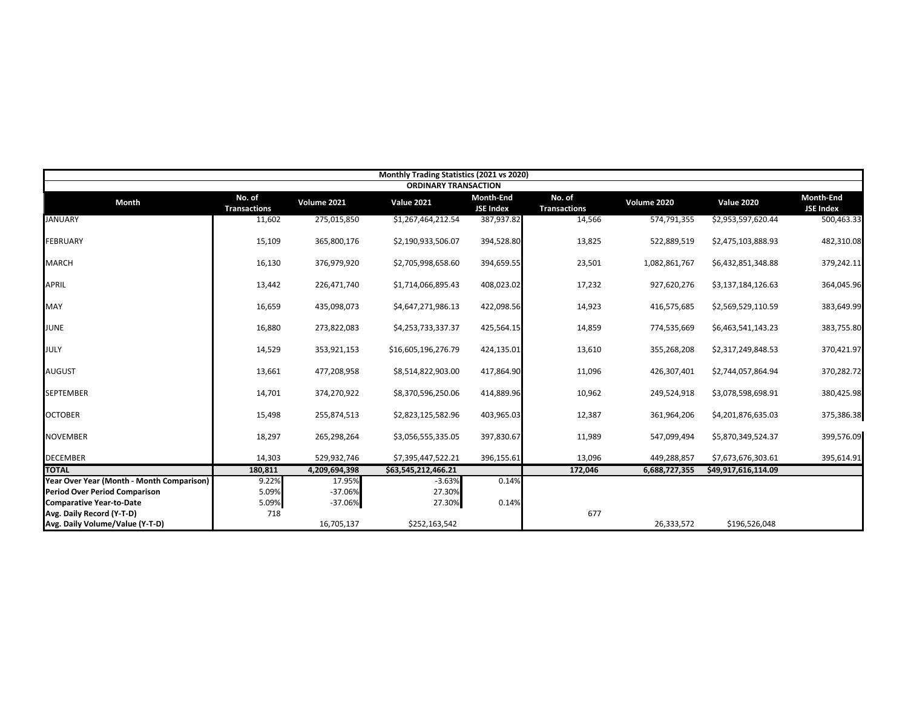|                                           |                               |               | Monthly Trading Statistics (2021 vs 2020) |                                      |                               |               |                     |                               |
|-------------------------------------------|-------------------------------|---------------|-------------------------------------------|--------------------------------------|-------------------------------|---------------|---------------------|-------------------------------|
|                                           |                               |               | <b>ORDINARY TRANSACTION</b>               |                                      |                               |               |                     |                               |
| <b>Month</b>                              | No. of<br><b>Transactions</b> | Volume 2021   | <b>Value 2021</b>                         | <b>Month-End</b><br><b>JSE Index</b> | No. of<br><b>Transactions</b> | Volume 2020   | <b>Value 2020</b>   | Month-End<br><b>JSE Index</b> |
| <b>JANUARY</b>                            | 11,602                        | 275,015,850   | \$1,267,464,212.54                        | 387,937.82                           | 14,566                        | 574,791,355   | \$2,953,597,620.44  | 500,463.33                    |
| <b>FEBRUARY</b>                           | 15,109                        | 365,800,176   | \$2,190,933,506.07                        | 394,528.80                           | 13,825                        | 522,889,519   | \$2,475,103,888.93  | 482,310.08                    |
| <b>MARCH</b>                              | 16,130                        | 376,979,920   | \$2,705,998,658.60                        | 394,659.55                           | 23,501                        | 1,082,861,767 | \$6,432,851,348.88  | 379,242.11                    |
| <b>APRIL</b>                              | 13,442                        | 226,471,740   | \$1,714,066,895.43                        | 408,023.02                           | 17,232                        | 927,620,276   | \$3,137,184,126.63  | 364,045.96                    |
| MAY                                       | 16,659                        | 435,098,073   | \$4,647,271,986.13                        | 422,098.56                           | 14,923                        | 416,575,685   | \$2,569,529,110.59  | 383,649.99                    |
| <b>JUNE</b>                               | 16,880                        | 273,822,083   | \$4,253,733,337.37                        | 425,564.15                           | 14,859                        | 774,535,669   | \$6,463,541,143.23  | 383,755.80                    |
| <b>JULY</b>                               | 14,529                        | 353,921,153   | \$16,605,196,276.79                       | 424,135.01                           | 13,610                        | 355,268,208   | \$2,317,249,848.53  | 370,421.97                    |
| <b>AUGUST</b>                             | 13,661                        | 477,208,958   | \$8,514,822,903.00                        | 417,864.90                           | 11,096                        | 426,307,401   | \$2,744,057,864.94  | 370,282.72                    |
| <b>SEPTEMBER</b>                          | 14,701                        | 374,270,922   | \$8,370,596,250.06                        | 414,889.96                           | 10,962                        | 249,524,918   | \$3,078,598,698.91  | 380,425.98                    |
| <b>OCTOBER</b>                            | 15,498                        | 255,874,513   | \$2,823,125,582.96                        | 403,965.03                           | 12,387                        | 361,964,206   | \$4,201,876,635.03  | 375,386.38                    |
| <b>NOVEMBER</b>                           | 18,297                        | 265,298,264   | \$3,056,555,335.05                        | 397,830.67                           | 11,989                        | 547,099,494   | \$5,870,349,524.37  | 399,576.09                    |
| <b>DECEMBER</b>                           | 14,303                        | 529,932,746   | \$7,395,447,522.21                        | 396,155.61                           | 13,096                        | 449,288,857   | \$7,673,676,303.61  | 395,614.91                    |
| <b>TOTAL</b>                              | 180,811                       | 4,209,694,398 | \$63,545,212,466.21                       |                                      | 172,046                       | 6,688,727,355 | \$49,917,616,114.09 |                               |
| Year Over Year (Month - Month Comparison) | 9.22%                         | 17.95%        | $-3.63%$                                  | 0.14%                                |                               |               |                     |                               |
| <b>Period Over Period Comparison</b>      | 5.09%                         | $-37.06%$     | 27.30%                                    |                                      |                               |               |                     |                               |
| <b>Comparative Year-to-Date</b>           | 5.09%                         | $-37.06%$     | 27.30%                                    | 0.14%                                |                               |               |                     |                               |
| Avg. Daily Record (Y-T-D)                 | 718                           |               |                                           |                                      | 677                           |               |                     |                               |
| Avg. Daily Volume/Value (Y-T-D)           |                               | 16,705,137    | \$252,163,542                             |                                      |                               | 26,333,572    | \$196,526,048       |                               |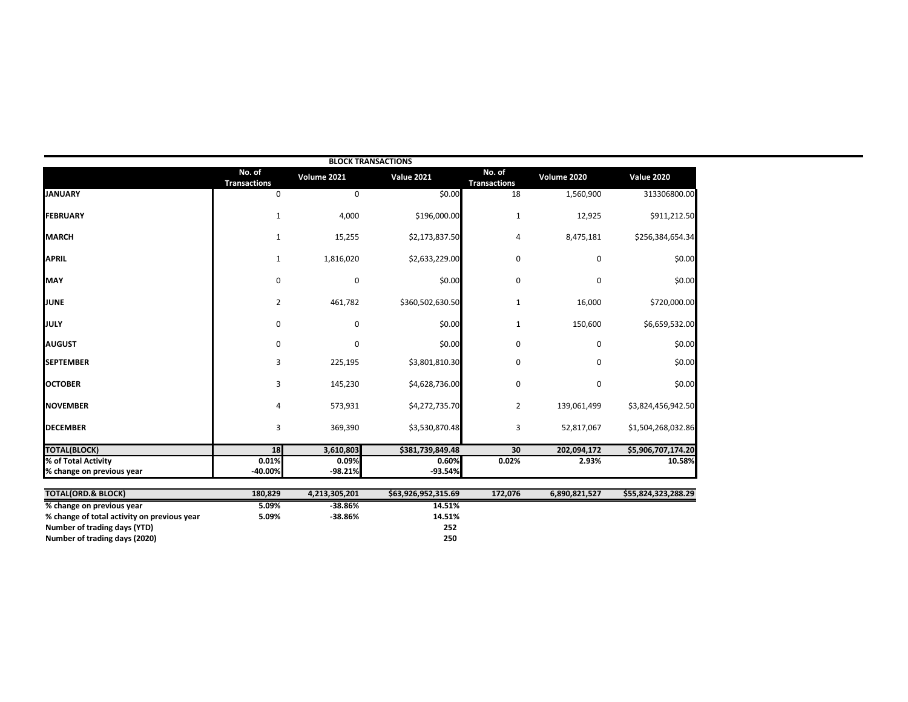|                                                                                                                                           |                               |                        | <b>BLOCK TRANSACTIONS</b>      |                               |               |                     |
|-------------------------------------------------------------------------------------------------------------------------------------------|-------------------------------|------------------------|--------------------------------|-------------------------------|---------------|---------------------|
|                                                                                                                                           | No. of<br><b>Transactions</b> | Volume 2021            | <b>Value 2021</b>              | No. of<br><b>Transactions</b> | Volume 2020   | <b>Value 2020</b>   |
| <b>JANUARY</b>                                                                                                                            | 0                             | 0                      | \$0.00                         | 18                            | 1,560,900     | 313306800.00        |
| <b>FEBRUARY</b>                                                                                                                           | $\mathbf{1}$                  | 4,000                  | \$196,000.00                   | 1                             | 12,925        | \$911,212.50        |
| <b>MARCH</b>                                                                                                                              | $\mathbf{1}$                  | 15,255                 | \$2,173,837.50                 | $\overline{4}$                | 8,475,181     | \$256,384,654.34    |
| <b>APRIL</b>                                                                                                                              | $\mathbf{1}$                  | 1,816,020              | \$2,633,229.00                 | $\mathbf 0$                   | 0             | \$0.00              |
| <b>MAY</b>                                                                                                                                | 0                             | 0                      | \$0.00                         | 0                             | 0             | \$0.00              |
| <b>JUNE</b>                                                                                                                               | $\overline{2}$                | 461,782                | \$360,502,630.50               | $\mathbf{1}$                  | 16,000        | \$720,000.00        |
| <b>JULY</b>                                                                                                                               | 0                             | 0                      | \$0.00                         | $\mathbf{1}$                  | 150,600       | \$6,659,532.00      |
| <b>AUGUST</b>                                                                                                                             | 0                             | 0                      | \$0.00                         | 0                             | 0             | \$0.00              |
| <b>SEPTEMBER</b>                                                                                                                          | 3                             | 225,195                | \$3,801,810.30                 | 0                             | 0             | \$0.00              |
| <b>OCTOBER</b>                                                                                                                            | 3                             | 145,230                | \$4,628,736.00                 | $\mathbf 0$                   | 0             | \$0.00              |
| <b>NOVEMBER</b>                                                                                                                           | 4                             | 573,931                | \$4,272,735.70                 | 2                             | 139,061,499   | \$3,824,456,942.50  |
| <b>DECEMBER</b>                                                                                                                           | 3                             | 369,390                | \$3,530,870.48                 | 3                             | 52,817,067    | \$1,504,268,032.86  |
| <b>TOTAL(BLOCK)</b>                                                                                                                       | 18                            | 3,610,803              | \$381,739,849.48               | 30                            | 202,094,172   | \$5,906,707,174.20  |
| % of Total Activity<br>% change on previous year                                                                                          | 0.01%<br>-40.00%              | 0.09%<br>$-98.21%$     | 0.60%<br>$-93.54%$             | 0.02%                         | 2.93%         | 10.58%              |
| <b>TOTAL(ORD.&amp; BLOCK)</b>                                                                                                             | 180,829                       | 4,213,305,201          | \$63,926,952,315.69            | 172,076                       | 6,890,821,527 | \$55,824,323,288.29 |
| % change on previous year<br>% change of total activity on previous year<br>Number of trading days (YTD)<br>Number of trading days (2020) | 5.09%<br>5.09%                | $-38.86%$<br>$-38.86%$ | 14.51%<br>14.51%<br>252<br>250 |                               |               |                     |
|                                                                                                                                           |                               |                        |                                |                               |               |                     |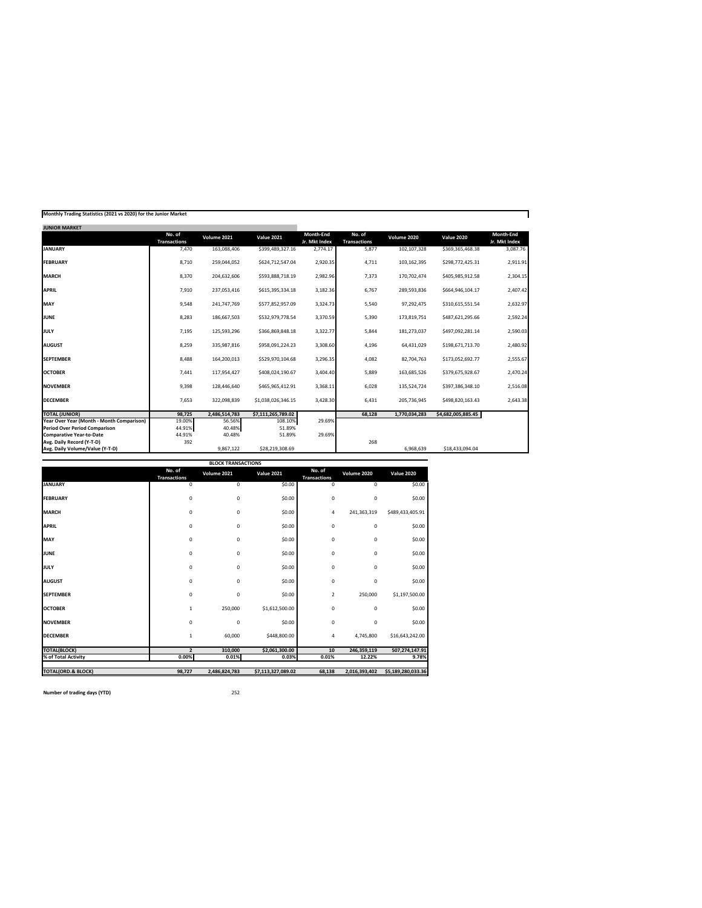| Monthly Trading Statistics (2021 vs 2020) for the Junior Market |  |  |  |
|-----------------------------------------------------------------|--|--|--|
|-----------------------------------------------------------------|--|--|--|

| <b>JUNIOR MARKET</b>                      |                               |               |                    |                            |                               |               |                    |                            |
|-------------------------------------------|-------------------------------|---------------|--------------------|----------------------------|-------------------------------|---------------|--------------------|----------------------------|
|                                           | No. of<br><b>Transactions</b> | Volume 2021   | <b>Value 2021</b>  | Month-End<br>Jr. Mkt Index | No. of<br><b>Transactions</b> | Volume 2020   | <b>Value 2020</b>  | Month-End<br>Jr. Mkt Index |
| <b>JANUARY</b>                            | 7,470                         | 163,088,406   | \$399,489,327.16   | 2,774.17                   | 5,877                         | 102,107,328   | \$369,365,468.38   | 3,087.76                   |
| <b>FEBRUARY</b>                           | 8.710                         | 259.044.052   | \$624,712,547.04   | 2,920.35                   | 4.711                         | 103,162,395   | \$298,772,425.31   | 2,911.91                   |
| <b>MARCH</b>                              | 8,370                         | 204,632,606   | \$593,888,718.19   | 2,982.96                   | 7,373                         | 170,702,474   | \$405,985,912.58   | 2,304.15                   |
| APRIL                                     | 7,910                         | 237,053,416   | \$615,395,334.18   | 3,182.36                   | 6,767                         | 289,593,836   | \$664.946.104.17   | 2,407.42                   |
| MAY                                       | 9,548                         | 241.747.769   | \$577,852,957.09   | 3,324.73                   | 5,540                         | 97,292,475    | \$310,615,551.54   | 2,632.97                   |
| <b>JUNE</b>                               | 8,283                         | 186.667.503   | \$532,979,778.54   | 3,370.59                   | 5,390                         | 173,819,751   | \$487,621,295.66   | 2,592.24                   |
| JULY                                      | 7,195                         | 125.593.296   | \$366,869,848.18   | 3,322.77                   | 5,844                         | 181,273,037   | \$497,092,281.14   | 2,590.03                   |
| <b>AUGUST</b>                             | 8,259                         | 335.987.816   | \$958,091,224.23   | 3,308.60                   | 4,196                         | 64,431,029    | \$198,671,713.70   | 2,480.92                   |
| <b>SEPTEMBER</b>                          | 8,488                         | 164.200.013   | \$529,970,104.68   | 3,296.35                   | 4,082                         | 82,704,763    | \$173.052.692.77   | 2,555.67                   |
| <b>OCTOBER</b>                            | 7,441                         | 117,954,427   | \$408,024,190.67   | 3,404.40                   | 5.889                         | 163,685,526   | \$379,675,928.67   | 2,470.24                   |
| <b>NOVEMBER</b>                           | 9,398                         | 128,446,640   | \$465.965.412.91   | 3,368.11                   | 6.028                         | 135.524.724   | \$397.386.348.10   | 2,516.08                   |
| <b>DECEMBER</b>                           | 7.653                         | 322.098.839   | \$1.038.026.346.15 | 3,428.30                   | 6,431                         | 205.736.945   | \$498.820.163.43   | 2,643.38                   |
| <b>TOTAL (JUNIOR)</b>                     | 98.725                        | 2,486,514,783 | \$7,111,265,789.02 |                            | 68.128                        | 1.770.034.283 | \$4,682,005,885.45 |                            |
| Year Over Year (Month - Month Comparison) | 19.00%                        | 56.56%        | 108.10%            | 29.69%                     |                               |               |                    |                            |
| Period Over Period Comparison             | 44.91%                        | 40.48%        | 51.89%             |                            |                               |               |                    |                            |
| <b>Comparative Year-to-Date</b>           | 44.91%                        | 40.48%        | 51.89%             | 29.69%                     |                               |               |                    |                            |
| Avg. Daily Record (Y-T-D)                 | 392                           |               |                    |                            | 268                           |               |                    |                            |
| Avg. Daily Volume/Value (Y-T-D)           |                               | 9.867.122     | \$28,219,308.69    |                            |                               | 6.968.639     | \$18,433,094.04    |                            |

|                               |                               | <b>BLOCK TRANSACTIONS</b> |                    |                               |               |                    |
|-------------------------------|-------------------------------|---------------------------|--------------------|-------------------------------|---------------|--------------------|
|                               | No. of<br><b>Transactions</b> | Volume 2021               | <b>Value 2021</b>  | No. of<br><b>Transactions</b> | Volume 2020   | <b>Value 2020</b>  |
| <b>JANUARY</b>                | 0                             | 0                         | \$0.00             | 0                             | $\mathbf 0$   | \$0.00             |
| <b>FEBRUARY</b>               | 0                             | 0                         | \$0.00             | $\mathbf 0$                   | $\mathbf 0$   | \$0.00             |
| <b>MARCH</b>                  | 0                             | 0                         | \$0.00             | 4                             | 241,363,319   | \$489,433,405.91   |
| <b>APRIL</b>                  | 0                             | 0                         | \$0.00             | $\mathbf 0$                   | $\mathbf 0$   | \$0.00             |
| MAY                           | 0                             | 0                         | \$0.00             | $\mathbf 0$                   | 0             | \$0.00             |
| <b>JUNE</b>                   | 0                             | 0                         | \$0.00             | 0                             | $\mathbf 0$   | \$0.00             |
| JULY                          | 0                             | 0                         | \$0.00             | $\mathbf 0$                   | $\mathbf 0$   | \$0.00             |
| <b>AUGUST</b>                 | 0                             | 0                         | \$0.00             | $\mathbf 0$                   | $\mathbf 0$   | \$0.00             |
| <b>SEPTEMBER</b>              | 0                             | 0                         | \$0.00             | $\overline{2}$                | 250,000       | \$1,197,500.00     |
| <b>OCTOBER</b>                | $\mathbf{1}$                  | 250,000                   | \$1,612,500.00     | $\mathbf 0$                   | $\mathbf 0$   | \$0.00             |
| <b>NOVEMBER</b>               | 0                             | 0                         | \$0.00             | $\mathbf 0$                   | $\mathbf 0$   | \$0.00             |
| <b>DECEMBER</b>               | $\mathbf{1}$                  | 60,000                    | \$448,800.00       | 4                             | 4,745,800     | \$16,643,242.00    |
| <b>TOTAL(BLOCK)</b>           | $\overline{2}$                | 310,000                   | \$2,061,300.00     | 10                            | 246,359,119   | 507,274,147.91     |
| % of Total Activity           | 0.00%                         | 0.01%                     | 0.03%              | 0.01%                         | 12.22%        | 9.78%              |
| <b>TOTAL(ORD.&amp; BLOCK)</b> | 98,727                        | 2,486,824,783             | \$7,113,327,089.02 | 68,138                        | 2,016,393,402 | \$5,189,280,033.36 |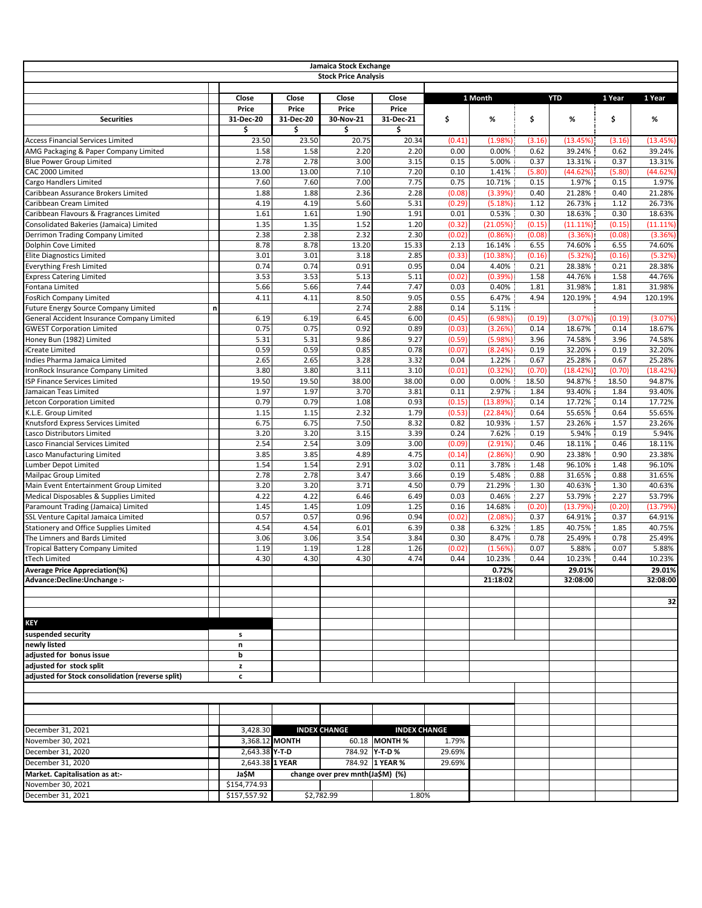|                                                                               |              |                 |                 | Jamaica Stock Exchange           |                     |                |                    |                 |                    |                 |                   |
|-------------------------------------------------------------------------------|--------------|-----------------|-----------------|----------------------------------|---------------------|----------------|--------------------|-----------------|--------------------|-----------------|-------------------|
|                                                                               |              |                 |                 | <b>Stock Price Analysis</b>      |                     |                |                    |                 |                    |                 |                   |
|                                                                               |              |                 |                 |                                  |                     |                |                    |                 |                    |                 |                   |
|                                                                               |              | Close           | Close           | Close                            | Close               |                | 1 Month            |                 | <b>YTD</b>         | 1 Year          | 1 Year            |
|                                                                               |              | Price           | Price           | Price                            | Price               |                |                    |                 |                    |                 |                   |
| <b>Securities</b>                                                             |              | 31-Dec-20<br>\$ | 31-Dec-20<br>\$ | 30-Nov-21<br>\$                  | 31-Dec-21<br>\$     | \$             | %                  | \$              | %                  | \$              | %                 |
| <b>Access Financial Services Limited</b>                                      |              | 23.50           | 23.50           | 20.75                            | 20.34               | (0.41)         | (1.98%)            | (3.16)          | (13.45%)           | (3.16)          | (13.45%)          |
| AMG Packaging & Paper Company Limited                                         |              | 1.58            | 1.58            | 2.20                             | 2.20                | 0.00           | 0.00%              | 0.62            | 39.24%             | 0.62            | 39.24%            |
| <b>Blue Power Group Limited</b>                                               |              | 2.78            | 2.78            | 3.00                             | 3.15                | 0.15           | 5.00%              | 0.37            | 13.31%             | 0.37            | 13.31%            |
| CAC 2000 Limited                                                              |              | 13.00           | 13.00           | 7.10                             | 7.20                | 0.10           | 1.41%              | (5.80)          | (44.62%)           | (5.80)          | (44.62%)          |
| Cargo Handlers Limited                                                        |              | 7.60            | 7.60            | 7.00                             | 7.75                | 0.75           | 10.71%             | 0.15            | 1.97%              | 0.15            | 1.97%             |
| Caribbean Assurance Brokers Limited                                           |              | 1.88            | 1.88            | 2.36                             | 2.28                | (0.08)         | (3.39%)            | 0.40            | 21.28%             | 0.40            | 21.28%            |
| Caribbean Cream Limited                                                       |              | 4.19            | 4.19            | 5.60                             | 5.31                | (0.29)         | (5.18%)            | 1.12            | 26.73%             | 1.12            | 26.73%            |
| Caribbean Flavours & Fragrances Limited                                       |              | 1.61            | 1.61            | 1.90                             | 1.91                | 0.01           | 0.53%              | 0.30            | 18.63%             | 0.30            | 18.63%            |
| Consolidated Bakeries (Jamaica) Limited                                       |              | 1.35            | 1.35            | 1.52                             | 1.20                | (0.32)         | (21.05%)           | (0.15)          | (11.11%)           | (0.15)          | $(11.11\%)$       |
| Derrimon Trading Company Limited                                              |              | 2.38            | 2.38            | 2.32                             | 2.30                | (0.02)         | (0.86%)            | (0.08)          | (3.36%)            | (0.08)          | (3.36%            |
| Dolphin Cove Limited<br><b>Elite Diagnostics Limited</b>                      |              | 8.78<br>3.01    | 8.78<br>3.01    | 13.20<br>3.18                    | 15.33<br>2.85       | 2.13<br>(0.33) | 16.14%<br>(10.38%) | 6.55<br>(0.16)  | 74.60%<br>(5.32%)  | 6.55<br>(0.16)  | 74.60%<br>(5.32%  |
| <b>Everything Fresh Limited</b>                                               |              | 0.74            | 0.74            | 0.91                             | 0.95                | 0.04           | 4.40%              | 0.21            | 28.38%             | 0.21            | 28.38%            |
| <b>Express Catering Limited</b>                                               |              | 3.53            | 3.53            | 5.13                             | 5.11                | (0.02)         | (0.39%)            | 1.58            | 44.76%             | 1.58            | 44.76%            |
| Fontana Limited                                                               |              | 5.66            | 5.66            | 7.44                             | 7.47                | 0.03           | 0.40%              | 1.81            | 31.98%             | 1.81            | 31.98%            |
| <b>FosRich Company Limited</b>                                                |              | 4.11            | 4.11            | 8.50                             | 9.05                | 0.55           | 6.47%              | 4.94            | 120.19%            | 4.94            | 120.19%           |
| <b>Future Energy Source Company Limited</b>                                   | $\mathsf{n}$ |                 |                 | 2.74                             | 2.88                | 0.14           | 5.11%              |                 |                    |                 |                   |
| General Accident Insurance Company Limited                                    |              | 6.19            | 6.19            | 6.45                             | 6.00                | (0.45)         | (6.98%)            | (0.19)          | (3.07%)            | (0.19)          | (3.07%            |
| <b>GWEST Corporation Limited</b>                                              |              | 0.75            | 0.75            | 0.92                             | 0.89                | (0.03)         | (3.26%)            | 0.14            | 18.67%             | 0.14            | 18.67%            |
| Honey Bun (1982) Limited                                                      |              | 5.31            | 5.31            | 9.86                             | 9.27                | (0.59)         | (5.98%)            | 3.96            | 74.58%             | 3.96            | 74.58%            |
| iCreate Limited                                                               |              | 0.59            | 0.59            | 0.85                             | 0.78                | (0.07)         | (8.24%)            | 0.19            | 32.20%             | 0.19            | 32.20%            |
| Indies Pharma Jamaica Limited                                                 |              | 2.65            | 2.65            | 3.28                             | 3.32                | 0.04           | 1.22%              | 0.67            | 25.28%             | 0.67            | 25.28%            |
| IronRock Insurance Company Limited<br>ISP Finance Services Limited            |              | 3.80<br>19.50   | 3.80<br>19.50   | 3.11<br>38.00                    | 3.10<br>38.00       | (0.01)<br>0.00 | (0.32%)<br>0.00%   | (0.70)<br>18.50 | (18.42%)<br>94.87% | (0.70)<br>18.50 | (18.42%<br>94.87% |
| Jamaican Teas Limited                                                         |              | 1.97            | 1.97            | 3.70                             | 3.81                | 0.11           | 2.97%              | 1.84            | 93.40%             | 1.84            | 93.40%            |
| Jetcon Corporation Limited                                                    |              | 0.79            | 0.79            | 1.08                             | 0.93                | (0.15)         | (13.89%)           | 0.14            | 17.72%             | 0.14            | 17.72%            |
| K.L.E. Group Limited                                                          |              | 1.15            | 1.15            | 2.32                             | 1.79                | (0.53)         | (22.84%)           | 0.64            | 55.65%             | 0.64            | 55.65%            |
| Knutsford Express Services Limited                                            |              | 6.75            | 6.75            | 7.50                             | 8.32                | 0.82           | 10.93%             | 1.57            | 23.26%             | 1.57            | 23.26%            |
| Lasco Distributors Limited                                                    |              | 3.20            | 3.20            | 3.15                             | 3.39                | 0.24           | 7.62%              | 0.19            | 5.94%              | 0.19            | 5.94%             |
| Lasco Financial Services Limited                                              |              | 2.54            | 2.54            | 3.09                             | 3.00                | (0.09)         | (2.91%)            | 0.46            | 18.11%             | 0.46            | 18.11%            |
| Lasco Manufacturing Limited                                                   |              | 3.85            | 3.85            | 4.89                             | 4.75                | (0.14)         | (2.86%)            | 0.90            | 23.38%             | 0.90            | 23.38%            |
| Lumber Depot Limited                                                          |              | 1.54            | 1.54            | 2.91                             | 3.02                | 0.11           | 3.78%              | 1.48            | 96.10%             | 1.48            | 96.10%            |
| Mailpac Group Limited                                                         |              | 2.78            | 2.78            | 3.47                             | 3.66                | 0.19           | 5.48%              | 0.88            | 31.65%             | 0.88            | 31.65%            |
| Main Event Entertainment Group Limited                                        |              | 3.20            | 3.20            | 3.71                             | 4.50                | 0.79           | 21.29%             | 1.30            | 40.63%             | 1.30            | 40.63%            |
| Medical Disposables & Supplies Limited<br>Paramount Trading (Jamaica) Limited |              | 4.22<br>1.45    | 4.22<br>1.45    | 6.46<br>1.09                     | 6.49<br>1.25        | 0.03<br>0.16   | 0.46%<br>14.68%    | 2.27<br>(0.20)  | 53.79%<br>(13.79%  | 2.27<br>(0.20)  | 53.79%<br>(13.79% |
| SSL Venture Capital Jamaica Limited                                           |              | 0.57            | 0.57            | 0.96                             | 0.94                | (0.02)         | (2.08%)            | 0.37            | 64.91%             | 0.37            | 64.91%            |
| <b>Stationery and Office Supplies Limited</b>                                 |              | 4.54            | 4.54            | 6.01                             | 6.39                | 0.38           | 6.32%              | 1.85            | 40.75%             | 1.85            | 40.75%            |
| The Limners and Bards Limited                                                 |              | 3.06            | 3.06            | 3.54                             | 3.84                | 0.30           | 8.47%              | 0.78            | 25.49%             | 0.78            | 25.49%            |
| Tropical Battery Company Limited                                              |              | 1.19            | 1.19            | 1.28                             | 1.26                | (0.02)         | (1.56%)            | 0.07            | 5.88%              | 0.07            | 5.88%             |
| tTech Limited                                                                 |              | 4.30            | 4.30            | 4.30                             | 4.74                | 0.44           | 10.23%             | 0.44            | 10.23%             | 0.44            | 10.23%            |
| <b>Average Price Appreciation(%)</b>                                          |              |                 |                 |                                  |                     |                | 0.72%              |                 | 29.01%             |                 | 29.01%            |
| Advance:Decline:Unchange :-                                                   |              |                 |                 |                                  |                     |                | 21:18:02           |                 | 32:08:00           |                 | 32:08:00          |
|                                                                               |              |                 |                 |                                  |                     |                |                    |                 |                    |                 |                   |
|                                                                               |              |                 |                 |                                  |                     |                |                    |                 |                    |                 | 32                |
| KEY                                                                           |              |                 |                 |                                  |                     |                |                    |                 |                    |                 |                   |
| suspended security                                                            |              |                 |                 |                                  |                     |                |                    |                 |                    |                 |                   |
| newly listed                                                                  |              | s<br>n          |                 |                                  |                     |                |                    |                 |                    |                 |                   |
| adjusted for bonus issue                                                      |              | b               |                 |                                  |                     |                |                    |                 |                    |                 |                   |
| adiusted for stock split                                                      |              | z               |                 |                                  |                     |                |                    |                 |                    |                 |                   |
| adjusted for Stock consolidation (reverse split)                              |              | c               |                 |                                  |                     |                |                    |                 |                    |                 |                   |
|                                                                               |              |                 |                 |                                  |                     |                |                    |                 |                    |                 |                   |
|                                                                               |              |                 |                 |                                  |                     |                |                    |                 |                    |                 |                   |
|                                                                               |              |                 |                 |                                  |                     |                |                    |                 |                    |                 |                   |
|                                                                               |              |                 |                 |                                  |                     |                |                    |                 |                    |                 |                   |
| December 31, 2021                                                             |              | 3,428.30        |                 | <b>INDEX CHANGE</b>              | <b>INDEX CHANGE</b> |                |                    |                 |                    |                 |                   |
| November 30, 2021                                                             |              | 3,368.12 MONTH  |                 |                                  | 60.18 MONTH %       | 1.79%          |                    |                 |                    |                 |                   |
| December 31, 2020                                                             |              | 2,643.38 Y-T-D  |                 |                                  | 784.92 Y-T-D %      | 29.69%         |                    |                 |                    |                 |                   |
| December 31, 2020                                                             |              | 2,643.38 1 YEAR |                 |                                  | 784.92 1 YEAR %     | 29.69%         |                    |                 |                    |                 |                   |
| Market. Capitalisation as at:-                                                |              | Ja\$M           |                 | change over prev mnth(Ja\$M) (%) |                     |                |                    |                 |                    |                 |                   |
| November 30, 2021                                                             |              | \$154,774.93    |                 |                                  |                     |                |                    |                 |                    |                 |                   |
| December 31, 2021                                                             |              | \$157,557.92    |                 | \$2,782.99                       | 1.80%               |                |                    |                 |                    |                 |                   |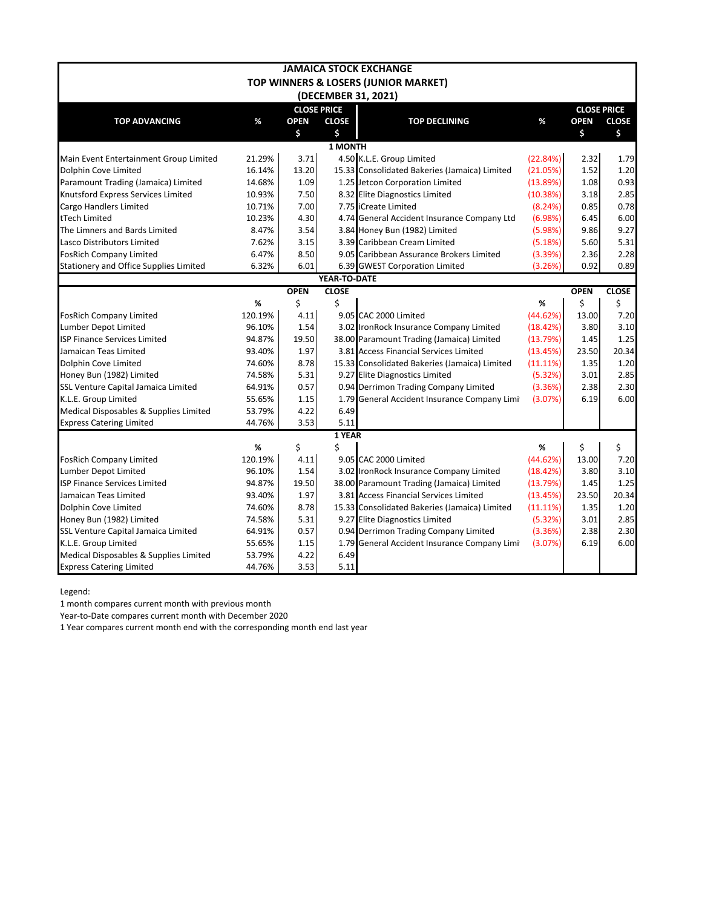|                                        |         |             |                    | <b>JAMAICA STOCK EXCHANGE</b>                 |             |                    |              |  |  |  |  |
|----------------------------------------|---------|-------------|--------------------|-----------------------------------------------|-------------|--------------------|--------------|--|--|--|--|
|                                        |         |             |                    | TOP WINNERS & LOSERS (JUNIOR MARKET)          |             |                    |              |  |  |  |  |
|                                        |         |             |                    | (DECEMBER 31, 2021)                           |             |                    |              |  |  |  |  |
|                                        |         |             | <b>CLOSE PRICE</b> |                                               |             | <b>CLOSE PRICE</b> |              |  |  |  |  |
| <b>TOP ADVANCING</b>                   | %       | <b>OPEN</b> | <b>CLOSE</b>       | <b>TOP DECLINING</b>                          | %           | <b>OPEN</b>        | <b>CLOSE</b> |  |  |  |  |
|                                        |         | \$          | \$                 |                                               |             | \$                 | \$           |  |  |  |  |
|                                        |         |             | <b>1 MONTH</b>     |                                               |             |                    |              |  |  |  |  |
| Main Event Entertainment Group Limited | 21.29%  | 3.71        |                    | 4.50 K.L.E. Group Limited                     | (22.84%)    | 2.32               | 1.79         |  |  |  |  |
| Dolphin Cove Limited                   | 16.14%  | 13.20       |                    | 15.33 Consolidated Bakeries (Jamaica) Limited | (21.05%)    | 1.52               | 1.20         |  |  |  |  |
| Paramount Trading (Jamaica) Limited    | 14.68%  | 1.09        |                    | 1.25 Jetcon Corporation Limited               | (13.89%)    | 1.08               | 0.93         |  |  |  |  |
| Knutsford Express Services Limited     | 10.93%  | 7.50        |                    | 8.32 Elite Diagnostics Limited                | (10.38%)    | 3.18               | 2.85         |  |  |  |  |
| Cargo Handlers Limited                 | 10.71%  | 7.00        |                    | 7.75 iCreate Limited                          | (8.24%)     | 0.85               | 0.78         |  |  |  |  |
| tTech Limited                          | 10.23%  | 4.30        |                    | 4.74 General Accident Insurance Company Ltd   | (6.98%)     | 6.45               | 6.00         |  |  |  |  |
| The Limners and Bards Limited          | 8.47%   | 3.54        |                    | 3.84 Honey Bun (1982) Limited                 | (5.98%)     | 9.86               | 9.27         |  |  |  |  |
| Lasco Distributors Limited             | 7.62%   | 3.15        |                    | 3.39 Caribbean Cream Limited                  | (5.18%)     | 5.60               | 5.31         |  |  |  |  |
| <b>FosRich Company Limited</b>         | 6.47%   | 8.50        |                    | 9.05 Caribbean Assurance Brokers Limited      | (3.39%)     | 2.36               | 2.28         |  |  |  |  |
| Stationery and Office Supplies Limited | 6.32%   | 6.01        |                    | 6.39 GWEST Corporation Limited                | (3.26%)     | 0.92               | 0.89         |  |  |  |  |
| YEAR-TO-DATE                           |         |             |                    |                                               |             |                    |              |  |  |  |  |
|                                        |         | <b>OPEN</b> | <b>CLOSE</b>       |                                               |             | <b>OPEN</b>        | <b>CLOSE</b> |  |  |  |  |
|                                        | %       | \$          | \$                 |                                               | %           | \$                 | \$           |  |  |  |  |
| <b>FosRich Company Limited</b>         | 120.19% | 4.11        |                    | 9.05 CAC 2000 Limited                         | (44.62%)    | 13.00              | 7.20         |  |  |  |  |
| Lumber Depot Limited                   | 96.10%  | 1.54        |                    | 3.02 IronRock Insurance Company Limited       | (18.42%)    | 3.80               | 3.10         |  |  |  |  |
| <b>ISP Finance Services Limited</b>    | 94.87%  | 19.50       |                    | 38.00 Paramount Trading (Jamaica) Limited     | (13.79%)    | 1.45               | 1.25         |  |  |  |  |
| Jamaican Teas Limited                  | 93.40%  | 1.97        |                    | 3.81 Access Financial Services Limited        | (13.45%)    | 23.50              | 20.34        |  |  |  |  |
| Dolphin Cove Limited                   | 74.60%  | 8.78        |                    | 15.33 Consolidated Bakeries (Jamaica) Limited | $(11.11\%)$ | 1.35               | 1.20         |  |  |  |  |
| Honey Bun (1982) Limited               | 74.58%  | 5.31        |                    | 9.27 Elite Diagnostics Limited                | (5.32%)     | 3.01               | 2.85         |  |  |  |  |
| SSL Venture Capital Jamaica Limited    | 64.91%  | 0.57        |                    | 0.94 Derrimon Trading Company Limited         | (3.36%)     | 2.38               | 2.30         |  |  |  |  |
| K.L.E. Group Limited                   | 55.65%  | 1.15        |                    | 1.79 General Accident Insurance Company Limi  | (3.07%)     | 6.19               | 6.00         |  |  |  |  |
| Medical Disposables & Supplies Limited | 53.79%  | 4.22        | 6.49               |                                               |             |                    |              |  |  |  |  |
| <b>Express Catering Limited</b>        | 44.76%  | 3.53        | 5.11               |                                               |             |                    |              |  |  |  |  |
|                                        |         |             | 1 YEAR             |                                               |             |                    |              |  |  |  |  |
|                                        | %       | \$          | \$                 |                                               | %           | \$                 | \$           |  |  |  |  |
| <b>FosRich Company Limited</b>         | 120.19% | 4.11        |                    | 9.05 CAC 2000 Limited                         | (44.62%)    | 13.00              | 7.20         |  |  |  |  |
| Lumber Depot Limited                   | 96.10%  | 1.54        |                    | 3.02 IronRock Insurance Company Limited       | (18.42%)    | 3.80               | 3.10         |  |  |  |  |
| ISP Finance Services Limited           | 94.87%  | 19.50       |                    | 38.00 Paramount Trading (Jamaica) Limited     | (13.79%)    | 1.45               | 1.25         |  |  |  |  |
| Jamaican Teas Limited                  | 93.40%  | 1.97        |                    | 3.81 Access Financial Services Limited        | (13.45%)    | 23.50              | 20.34        |  |  |  |  |
| Dolphin Cove Limited                   | 74.60%  | 8.78        |                    | 15.33 Consolidated Bakeries (Jamaica) Limited | $(11.11\%)$ | 1.35               | 1.20         |  |  |  |  |
| Honey Bun (1982) Limited               | 74.58%  | 5.31        |                    | 9.27 Elite Diagnostics Limited                | (5.32%)     | 3.01               | 2.85         |  |  |  |  |
| SSL Venture Capital Jamaica Limited    | 64.91%  | 0.57        |                    | 0.94 Derrimon Trading Company Limited         | (3.36%)     | 2.38               | 2.30         |  |  |  |  |
| K.L.E. Group Limited                   | 55.65%  | 1.15        |                    | 1.79 General Accident Insurance Company Limi  | (3.07%)     | 6.19               | 6.00         |  |  |  |  |
| Medical Disposables & Supplies Limited | 53.79%  | 4.22        | 6.49               |                                               |             |                    |              |  |  |  |  |
| <b>Express Catering Limited</b>        | 44.76%  | 3.53        | 5.11               |                                               |             |                    |              |  |  |  |  |

Legend:

1 month compares current month with previous month

Year-to-Date compares current month with December 2020

1 Year compares current month end with the corresponding month end last year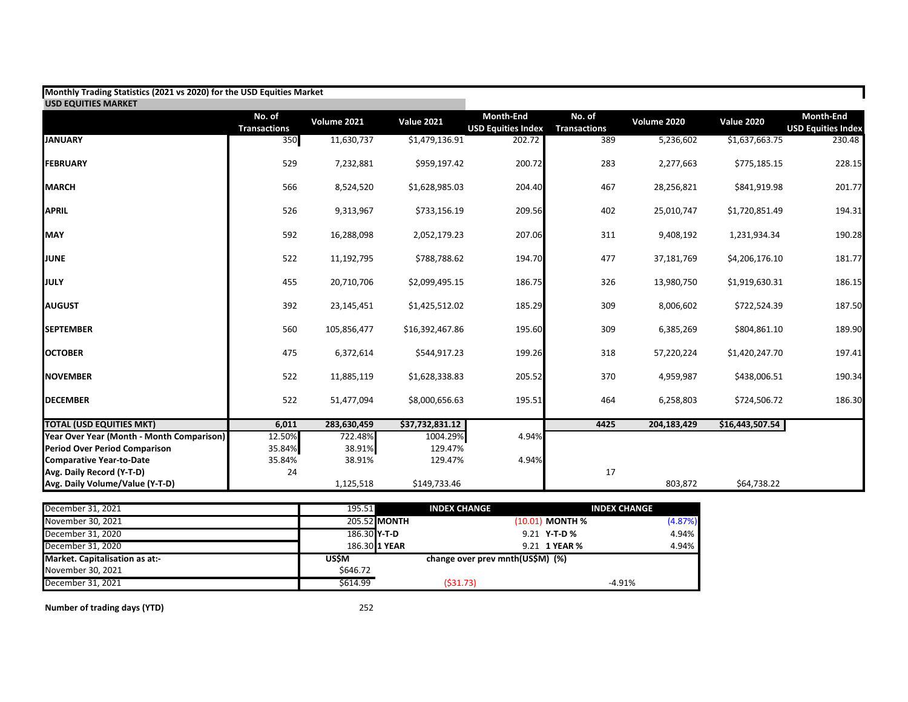| Monthly Trading Statistics (2021 vs 2020) for the USD Equities Market |                               |             |                   |                                        |                               |             |                   |                                               |
|-----------------------------------------------------------------------|-------------------------------|-------------|-------------------|----------------------------------------|-------------------------------|-------------|-------------------|-----------------------------------------------|
| <b>USD EQUITIES MARKET</b>                                            |                               |             |                   |                                        |                               |             |                   |                                               |
|                                                                       | No. of<br><b>Transactions</b> | Volume 2021 | <b>Value 2021</b> | Month-End<br><b>USD Equities Index</b> | No. of<br><b>Transactions</b> | Volume 2020 | <b>Value 2020</b> | <b>Month-End</b><br><b>USD Equities Index</b> |
| <b>JANUARY</b>                                                        | 350                           | 11,630,737  | \$1,479,136.91    | 202.72                                 | 389                           | 5,236,602   | \$1,637,663.75    | 230.48                                        |
| <b>FEBRUARY</b>                                                       | 529                           | 7,232,881   | \$959,197.42      | 200.72                                 | 283                           | 2,277,663   | \$775,185.15      | 228.15                                        |
| <b>MARCH</b>                                                          | 566                           | 8,524,520   | \$1,628,985.03    | 204.40                                 | 467                           | 28,256,821  | \$841,919.98      | 201.77                                        |
| <b>APRIL</b>                                                          | 526                           | 9,313,967   | \$733,156.19      | 209.56                                 | 402                           | 25,010,747  | \$1,720,851.49    | 194.31                                        |
| <b>MAY</b>                                                            | 592                           | 16,288,098  | 2,052,179.23      | 207.06                                 | 311                           | 9,408,192   | 1,231,934.34      | 190.28                                        |
| <b>JUNE</b>                                                           | 522                           | 11,192,795  | \$788,788.62      | 194.70                                 | 477                           | 37,181,769  | \$4,206,176.10    | 181.77                                        |
| JULY                                                                  | 455                           | 20,710,706  | \$2,099,495.15    | 186.75                                 | 326                           | 13,980,750  | \$1,919,630.31    | 186.15                                        |
| <b>AUGUST</b>                                                         | 392                           | 23,145,451  | \$1,425,512.02    | 185.29                                 | 309                           | 8,006,602   | \$722,524.39      | 187.50                                        |
| <b>SEPTEMBER</b>                                                      | 560                           | 105,856,477 | \$16,392,467.86   | 195.60                                 | 309                           | 6,385,269   | \$804,861.10      | 189.90                                        |
| <b>OCTOBER</b>                                                        | 475                           | 6,372,614   | \$544,917.23      | 199.26                                 | 318                           | 57,220,224  | \$1,420,247.70    | 197.41                                        |
| <b>NOVEMBER</b>                                                       | 522                           | 11,885,119  | \$1,628,338.83    | 205.52                                 | 370                           | 4,959,987   | \$438,006.51      | 190.34                                        |
| <b>DECEMBER</b>                                                       | 522                           | 51,477,094  | \$8,000,656.63    | 195.51                                 | 464                           | 6,258,803   | \$724,506.72      | 186.30                                        |
| <b>TOTAL (USD EQUITIES MKT)</b>                                       | 6,011                         | 283,630,459 | \$37,732,831.12   |                                        | 4425                          | 204,183,429 | \$16,443,507.54   |                                               |
| Year Over Year (Month - Month Comparison)                             | 12.50%                        | 722.48%     | 1004.29%          | 4.94%                                  |                               |             |                   |                                               |
| <b>Period Over Period Comparison</b>                                  | 35.84%                        | 38.91%      | 129.47%           |                                        |                               |             |                   |                                               |
| <b>Comparative Year-to-Date</b>                                       | 35.84%                        | 38.91%      | 129.47%           | 4.94%                                  |                               |             |                   |                                               |
| Avg. Daily Record (Y-T-D)                                             | 24                            |             |                   |                                        | 17                            |             |                   |                                               |
| Avg. Daily Volume/Value (Y-T-D)                                       |                               | 1,125,518   | \$149,733.46      |                                        |                               | 803,872     | \$64,738.22       |                                               |

| December 31, 2021              | 195.51       | <b>INDEX CHANGE</b> |                                  | <b>INDEX CHANGE</b> |         |
|--------------------------------|--------------|---------------------|----------------------------------|---------------------|---------|
| November 30, 2021              |              | 205.52 MONTH        |                                  | $(10.01)$ MONTH %   | (4.87%) |
| December 31, 2020              | 186.30 Y-T-D |                     |                                  | 9.21 Y-T-D %        | 4.94%   |
| December 31, 2020              |              | 186.30 1 YEAR       |                                  | 9.21 1 YEAR %       | 4.94%   |
| Market. Capitalisation as at:- | USŚM         |                     | change over prev mnth(US\$M) (%) |                     |         |
| November 30, 2021              | \$646.72     |                     |                                  |                     |         |
| December 31, 2021              | \$614.99     | (531.73)            |                                  | $-4.91%$            |         |

**Number of trading days (YTD)** 252